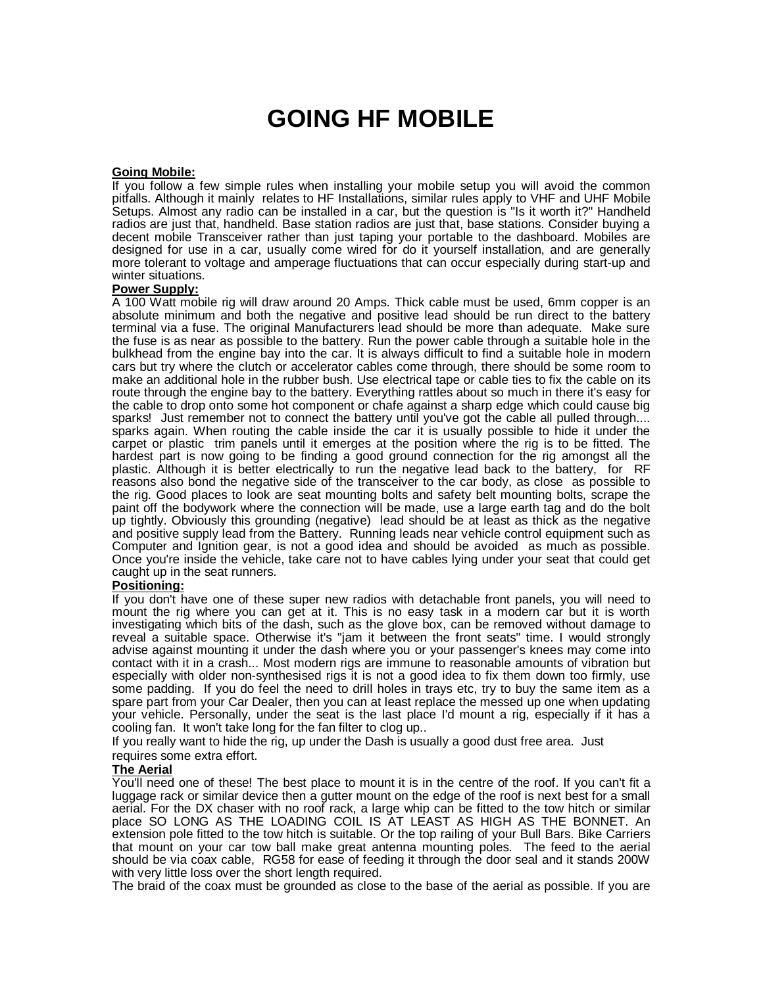# **GOING HF MOBILE**

## **Going Mobile:**

If you follow a few simple rules when installing your mobile setup you will avoid the common pitfalls. Although it mainly relates to HF Installations, similar rules apply to VHF and UHF Mobile Setups. Almost any radio can be installed in a car, but the question is "Is it worth it?" Handheld radios are just that, handheld. Base station radios are just that, base stations. Consider buying a decent mobile Transceiver rather than just taping your portable to the dashboard. Mobiles are designed for use in a car, usually come wired for do it yourself installation, and are generally more tolerant to voltage and amperage fluctuations that can occur especially during start-up and winter situations.

#### **Power Supply:**

A 100 Watt mobile rig will draw around 20 Amps. Thick cable must be used, 6mm copper is an absolute minimum and both the negative and positive lead should be run direct to the battery terminal via a fuse. The original Manufacturers lead should be more than adequate. Make sure the fuse is as near as possible to the battery. Run the power cable through a suitable hole in the bulkhead from the engine bay into the car. It is always difficult to find a suitable hole in modern cars but try where the clutch or accelerator cables come through, there should be some room to make an additional hole in the rubber bush. Use electrical tape or cable ties to fix the cable on its route through the engine bay to the battery. Everything rattles about so much in there it's easy for the cable to drop onto some hot component or chafe against a sharp edge which could cause big sparks! Just remember not to connect the battery until you've got the cable all pulled through.... sparks again. When routing the cable inside the car it is usually possible to hide it under the carpet or plastic trim panels until it emerges at the position where the rig is to be fitted. The hardest part is now going to be finding a good ground connection for the rig amongst all the plastic. Although it is better electrically to run the negative lead back to the battery, for RF reasons also bond the negative side of the transceiver to the car body, as close as possible to the rig. Good places to look are seat mounting bolts and safety belt mounting bolts, scrape the paint off the bodywork where the connection will be made, use a large earth tag and do the bolt up tightly. Obviously this grounding (negative) lead should be at least as thick as the negative and positive supply lead from the Battery. Running leads near vehicle control equipment such as Computer and Ignition gear, is not a good idea and should be avoided as much as possible. Once you're inside the vehicle, take care not to have cables lying under your seat that could get caught up in the seat runners.

# **Positioning:**

If you don't have one of these super new radios with detachable front panels, you will need to mount the rig where you can get at it. This is no easy task in a modern car but it is worth investigating which bits of the dash, such as the glove box, can be removed without damage to reveal a suitable space. Otherwise it's "jam it between the front seats" time. I would strongly advise against mounting it under the dash where you or your passenger's knees may come into contact with it in a crash... Most modern rigs are immune to reasonable amounts of vibration but especially with older non-synthesised rigs it is not a good idea to fix them down too firmly, use some padding. If you do feel the need to drill holes in trays etc, try to buy the same item as a spare part from your Car Dealer, then you can at least replace the messed up one when updating your vehicle. Personally, under the seat is the last place I'd mount a rig, especially if it has a cooling fan. It won't take long for the fan filter to clog up..

If you really want to hide the rig, up under the Dash is usually a good dust free area. Just requires some extra effort.

#### **The Aerial**

You'll need one of these! The best place to mount it is in the centre of the roof. If you can't fit a luggage rack or similar device then a gutter mount on the edge of the roof is next best for a small aerial. For the DX chaser with no roof rack, a large whip can be fitted to the tow hitch or similar place SO LONG AS THE LOADING COIL IS AT LEAST AS HIGH AS THE BONNET. An extension pole fitted to the tow hitch is suitable. Or the top railing of your Bull Bars. Bike Carriers that mount on your car tow ball make great antenna mounting poles. The feed to the aerial should be via coax cable, RG58 for ease of feeding it through the door seal and it stands 200W with very little loss over the short length required.

The braid of the coax must be grounded as close to the base of the aerial as possible. If you are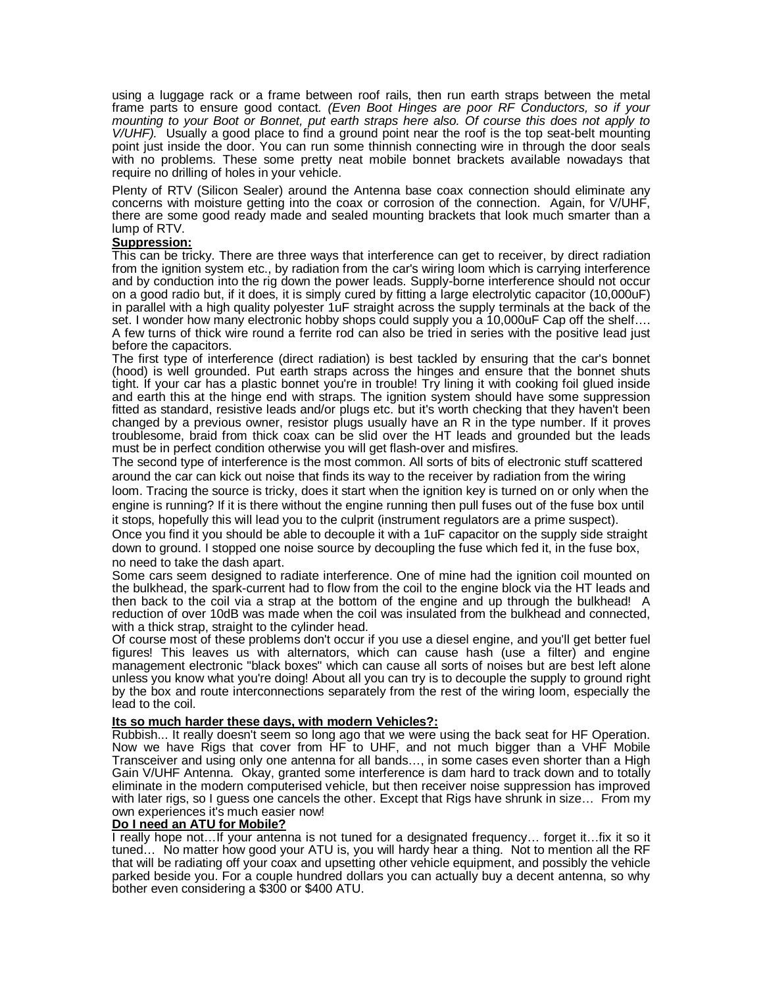using a luggage rack or a frame between roof rails, then run earth straps between the metal frame parts to ensure good contact. (Even Boot Hinges are poor RF Conductors, so if your mounting to your Boot or Bonnet, put earth straps here also. Of course this does not apply to V/UHF). Usually a good place to find a ground point near the roof is the top seat-belt mounting point just inside the door. You can run some thinnish connecting wire in through the door seals with no problems. These some pretty neat mobile bonnet brackets available nowadays that require no drilling of holes in your vehicle.

Plenty of RTV (Silicon Sealer) around the Antenna base coax connection should eliminate any concerns with moisture getting into the coax or corrosion of the connection. Again, for V/UHF, there are some good ready made and sealed mounting brackets that look much smarter than a lump of RTV.

## **Suppression:**

This can be tricky. There are three ways that interference can get to receiver, by direct radiation from the ignition system etc., by radiation from the car's wiring loom which is carrying interference and by conduction into the rig down the power leads. Supply-borne interference should not occur on a good radio but, if it does, it is simply cured by fitting a large electrolytic capacitor (10,000uF) in parallel with a high quality polyester 1uF straight across the supply terminals at the back of the set. I wonder how many electronic hobby shops could supply you a 10,000uF Cap off the shelf…. A few turns of thick wire round a ferrite rod can also be tried in series with the positive lead just before the capacitors.

The first type of interference (direct radiation) is best tackled by ensuring that the car's bonnet (hood) is well grounded. Put earth straps across the hinges and ensure that the bonnet shuts tight. If your car has a plastic bonnet you're in trouble! Try lining it with cooking foil glued inside and earth this at the hinge end with straps. The ignition system should have some suppression fitted as standard, resistive leads and/or plugs etc. but it's worth checking that they haven't been changed by a previous owner, resistor plugs usually have an R in the type number. If it proves troublesome, braid from thick coax can be slid over the HT leads and grounded but the leads must be in perfect condition otherwise you will get flash-over and misfires.

The second type of interference is the most common. All sorts of bits of electronic stuff scattered around the car can kick out noise that finds its way to the receiver by radiation from the wiring loom. Tracing the source is tricky, does it start when the ignition key is turned on or only when the

engine is running? If it is there without the engine running then pull fuses out of the fuse box until it stops, hopefully this will lead you to the culprit (instrument regulators are a prime suspect).

Once you find it you should be able to decouple it with a 1uF capacitor on the supply side straight down to ground. I stopped one noise source by decoupling the fuse which fed it, in the fuse box, no need to take the dash apart.

Some cars seem designed to radiate interference. One of mine had the ignition coil mounted on the bulkhead, the spark-current had to flow from the coil to the engine block via the HT leads and then back to the coil via a strap at the bottom of the engine and up through the bulkhead! A reduction of over 10dB was made when the coil was insulated from the bulkhead and connected, with a thick strap, straight to the cylinder head.

Of course most of these problems don't occur if you use a diesel engine, and you'll get better fuel figures! This leaves us with alternators, which can cause hash (use a filter) and engine management electronic "black boxes" which can cause all sorts of noises but are best left alone unless you know what you're doing! About all you can try is to decouple the supply to ground right by the box and route interconnections separately from the rest of the wiring loom, especially the lead to the coil.

## **Its so much harder these days, with modern Vehicles?:**

Rubbish... It really doesn't seem so long ago that we were using the back seat for HF Operation. Now we have Rigs that cover from HF to UHF, and not much bigger than a VHF Mobile Transceiver and using only one antenna for all bands…, in some cases even shorter than a High Gain V/UHF Antenna. Okay, granted some interference is dam hard to track down and to totally eliminate in the modern computerised vehicle, but then receiver noise suppression has improved with later rigs, so I guess one cancels the other. Except that Rigs have shrunk in size… From my own experiences it's much easier now!

#### **Do I need an ATU for Mobile?**

I really hope not…If your antenna is not tuned for a designated frequency… forget it…fix it so it tuned… No matter how good your ATU is, you will hardy hear a thing. Not to mention all the RF that will be radiating off your coax and upsetting other vehicle equipment, and possibly the vehicle parked beside you. For a couple hundred dollars you can actually buy a decent antenna, so why bother even considering a \$300 or \$400 ATU.